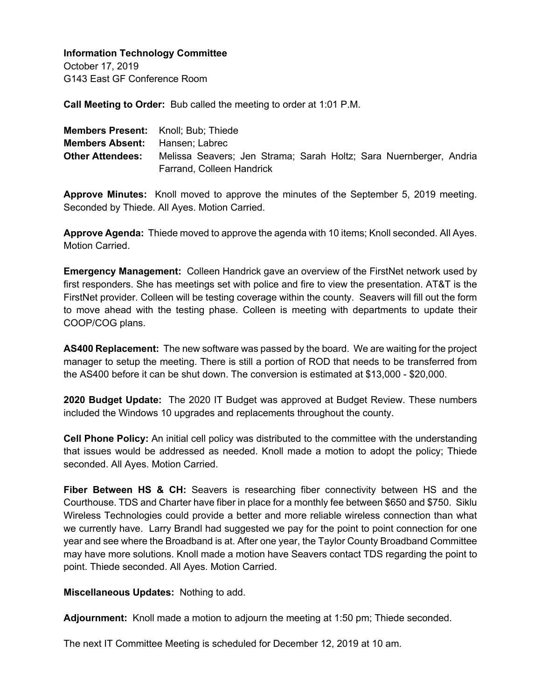October 17, 2019 G143 East GF Conference Room

**Call Meeting to Order:** Bub called the meeting to order at 1:01 P.M.

| <b>Members Present:</b> Knoll: Bub: Thiede |                                                                                                 |
|--------------------------------------------|-------------------------------------------------------------------------------------------------|
| <b>Members Absent:</b> Hansen: Labrec      |                                                                                                 |
| <b>Other Attendees:</b>                    | Melissa Seavers; Jen Strama; Sarah Holtz; Sara Nuernberger, Andria<br>Farrand, Colleen Handrick |

**Approve Minutes:** Knoll moved to approve the minutes of the September 5, 2019 meeting. Seconded by Thiede. All Ayes. Motion Carried.

**Approve Agenda:** Thiede moved to approve the agenda with 10 items; Knoll seconded. All Ayes. Motion Carried.

**Emergency Management:** Colleen Handrick gave an overview of the FirstNet network used by first responders. She has meetings set with police and fire to view the presentation. AT&T is the FirstNet provider. Colleen will be testing coverage within the county. Seavers will fill out the form to move ahead with the testing phase. Colleen is meeting with departments to update their COOP/COG plans.

**AS400 Replacement:** The new software was passed by the board. We are waiting for the project manager to setup the meeting. There is still a portion of ROD that needs to be transferred from the AS400 before it can be shut down. The conversion is estimated at \$13,000 - \$20,000.

**2020 Budget Update:** The 2020 IT Budget was approved at Budget Review. These numbers included the Windows 10 upgrades and replacements throughout the county.

**Cell Phone Policy:** An initial cell policy was distributed to the committee with the understanding that issues would be addressed as needed. Knoll made a motion to adopt the policy; Thiede seconded. All Ayes. Motion Carried.

Fiber Between HS & CH: Seavers is researching fiber connectivity between HS and the Courthouse. TDS and Charter have fiber in place for a monthly fee between \$650 and \$750. Siklu Wireless Technologies could provide a better and more reliable wireless connection than what we currently have. Larry Brandl had suggested we pay for the point to point connection for one year and see where the Broadband is at. After one year, the Taylor County Broadband Committee may have more solutions. Knoll made a motion have Seavers contact TDS regarding the point to point. Thiede seconded. All Ayes. Motion Carried.

**Miscellaneous Updates:** Nothing to add.

**Adjournment:** Knoll made a motion to adjourn the meeting at 1:50 pm; Thiede seconded.

The next IT Committee Meeting is scheduled for December 12, 2019 at 10 am.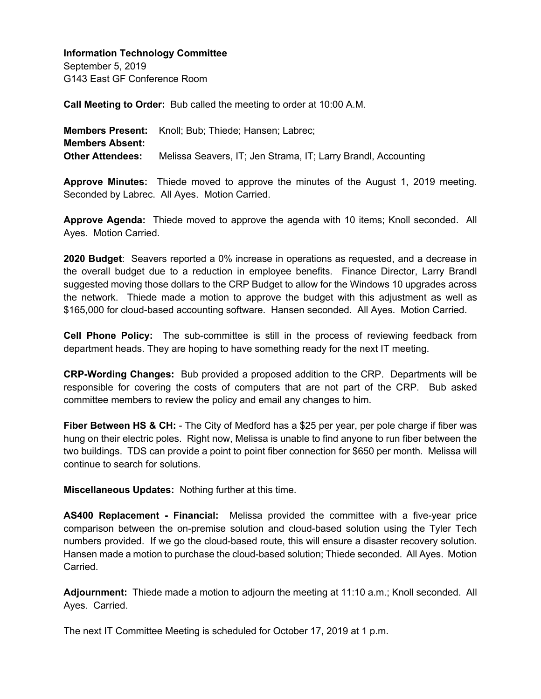September 5, 2019 G143 East GF Conference Room

**Call Meeting to Order:** Bub called the meeting to order at 10:00 A.M.

**Members Present:** Knoll; Bub; Thiede; Hansen; Labrec; **Members Absent: Other Attendees:** Melissa Seavers, IT; Jen Strama, IT; Larry Brandl, Accounting

**Approve Minutes:** Thiede moved to approve the minutes of the August 1, 2019 meeting. Seconded by Labrec. All Ayes. Motion Carried.

**Approve Agenda:** Thiede moved to approve the agenda with 10 items; Knoll seconded. All Ayes. Motion Carried.

**2020 Budget**: Seavers reported a 0% increase in operations as requested, and a decrease in the overall budget due to a reduction in employee benefits. Finance Director, Larry Brandl suggested moving those dollars to the CRP Budget to allow for the Windows 10 upgrades across the network.Thiede made a motion to approve the budget with this adjustment as well as \$165,000 for cloud-based accounting software. Hansen seconded. All Ayes. Motion Carried.

**Cell Phone Policy:** The sub-committee is still in the process of reviewing feedback from department heads. They are hoping to have something ready for the next IT meeting.

**CRP-Wording Changes:** Bub provided a proposed addition to the CRP. Departments will be responsible for covering the costs of computers that are not part of the CRP. Bub asked committee members to review the policy and email any changes to him.

**Fiber Between HS & CH:** - The City of Medford has a \$25 per year, per pole charge if fiber was hung on their electric poles. Right now, Melissa is unable to find anyone to run fiber between the two buildings. TDS can provide a point to point fiber connection for \$650 per month. Melissa will continue to search for solutions.

**Miscellaneous Updates:** Nothing further at this time.

**AS400 Replacement - Financial:** Melissa provided the committee with a five-year price comparison between the on-premise solution and cloud-based solution using the Tyler Tech numbers provided. If we go the cloud-based route, this will ensure a disaster recovery solution. Hansen made a motion to purchase the cloud-based solution; Thiede seconded. All Ayes. Motion **Carried** 

**Adjournment:** Thiede made a motion to adjourn the meeting at 11:10 a.m.; Knoll seconded. All Ayes. Carried.

The next IT Committee Meeting is scheduled for October 17, 2019 at 1 p.m.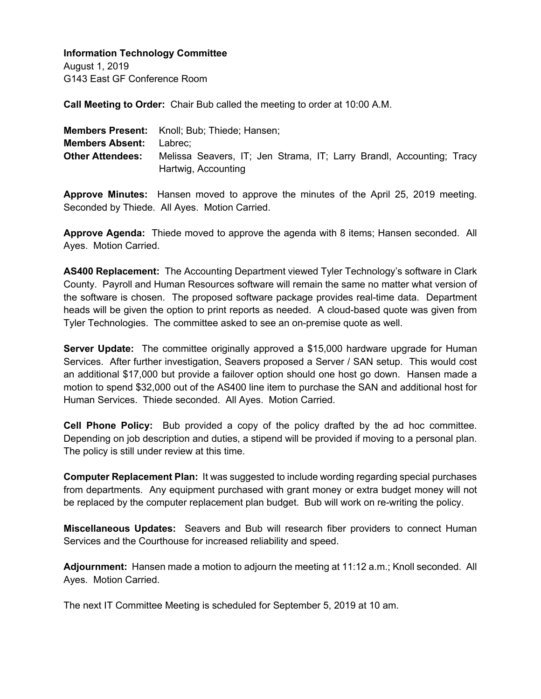August 1, 2019 G143 East GF Conference Room

**Call Meeting to Order:** Chair Bub called the meeting to order at 10:00 A.M.

|                                | <b>Members Present:</b> Knoll; Bub; Thiede; Hansen;                                         |
|--------------------------------|---------------------------------------------------------------------------------------------|
| <b>Members Absent:</b> Labrec; |                                                                                             |
| <b>Other Attendees:</b>        | Melissa Seavers, IT; Jen Strama, IT; Larry Brandl, Accounting; Tracy<br>Hartwig, Accounting |

**Approve Minutes:** Hansen moved to approve the minutes of the April 25, 2019 meeting. Seconded by Thiede. All Ayes. Motion Carried.

**Approve Agenda:** Thiede moved to approve the agenda with 8 items; Hansen seconded. All Ayes. Motion Carried.

**AS400 Replacement:** The Accounting Department viewed Tyler Technology's software in Clark County. Payroll and Human Resources software will remain the same no matter what version of the software is chosen. The proposed software package provides real-time data. Department heads will be given the option to print reports as needed. A cloud-based quote was given from Tyler Technologies. The committee asked to see an on-premise quote as well.

**Server Update:** The committee originally approved a \$15,000 hardware upgrade for Human Services. After further investigation, Seavers proposed a Server / SAN setup. This would cost an additional \$17,000 but provide a failover option should one host go down. Hansen made a motion to spend \$32,000 out of the AS400 line item to purchase the SAN and additional host for Human Services. Thiede seconded. All Ayes. Motion Carried.

**Cell Phone Policy:** Bub provided a copy of the policy drafted by the ad hoc committee. Depending on job description and duties, a stipend will be provided if moving to a personal plan. The policy is still under review at this time.

**Computer Replacement Plan:** It was suggested to include wording regarding special purchases from departments. Any equipment purchased with grant money or extra budget money will not be replaced by the computer replacement plan budget. Bub will work on re-writing the policy.

**Miscellaneous Updates:** Seavers and Bub will research fiber providers to connect Human Services and the Courthouse for increased reliability and speed.

**Adjournment:** Hansen made a motion to adjourn the meeting at 11:12 a.m.; Knoll seconded. All Ayes. Motion Carried.

The next IT Committee Meeting is scheduled for September 5, 2019 at 10 am.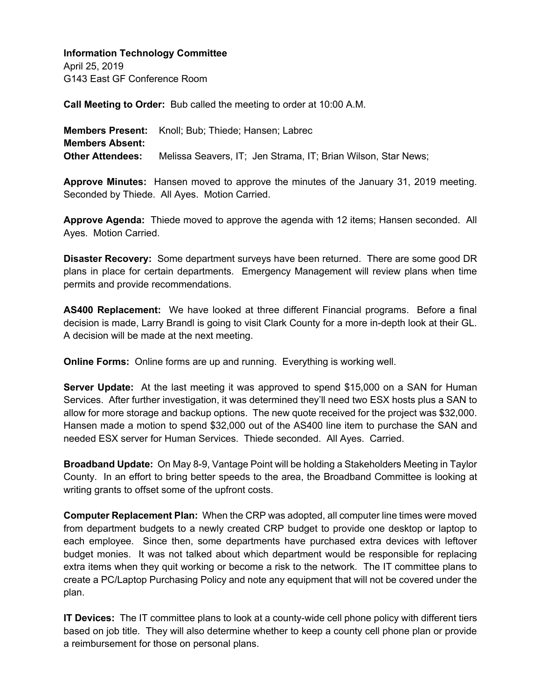April 25, 2019 G143 East GF Conference Room

**Call Meeting to Order:** Bub called the meeting to order at 10:00 A.M.

**Members Present:** Knoll; Bub; Thiede; Hansen; Labrec **Members Absent: Other Attendees:** Melissa Seavers, IT; Jen Strama, IT; Brian Wilson, Star News;

**Approve Minutes:** Hansen moved to approve the minutes of the January 31, 2019 meeting. Seconded by Thiede. All Ayes. Motion Carried.

**Approve Agenda:** Thiede moved to approve the agenda with 12 items; Hansen seconded. All Ayes. Motion Carried.

**Disaster Recovery:** Some department surveys have been returned. There are some good DR plans in place for certain departments. Emergency Management will review plans when time permits and provide recommendations.

**AS400 Replacement:** We have looked at three different Financial programs. Before a final decision is made, Larry Brandl is going to visit Clark County for a more in-depth look at their GL. A decision will be made at the next meeting.

**Online Forms:** Online forms are up and running. Everything is working well.

**Server Update:** At the last meeting it was approved to spend \$15,000 on a SAN for Human Services. After further investigation, it was determined they'll need two ESX hosts plus a SAN to allow for more storage and backup options. The new quote received for the project was \$32,000. Hansen made a motion to spend \$32,000 out of the AS400 line item to purchase the SAN and needed ESX server for Human Services. Thiede seconded. All Ayes. Carried.

**Broadband Update:** On May 8-9, Vantage Point will be holding a Stakeholders Meeting in Taylor County. In an effort to bring better speeds to the area, the Broadband Committee is looking at writing grants to offset some of the upfront costs.

**Computer Replacement Plan:** When the CRP was adopted, all computer line times were moved from department budgets to a newly created CRP budget to provide one desktop or laptop to each employee. Since then, some departments have purchased extra devices with leftover budget monies. It was not talked about which department would be responsible for replacing extra items when they quit working or become a risk to the network. The IT committee plans to create a PC/Laptop Purchasing Policy and note any equipment that will not be covered under the plan.

**IT Devices:** The IT committee plans to look at a county-wide cell phone policy with different tiers based on job title. They will also determine whether to keep a county cell phone plan or provide a reimbursement for those on personal plans.